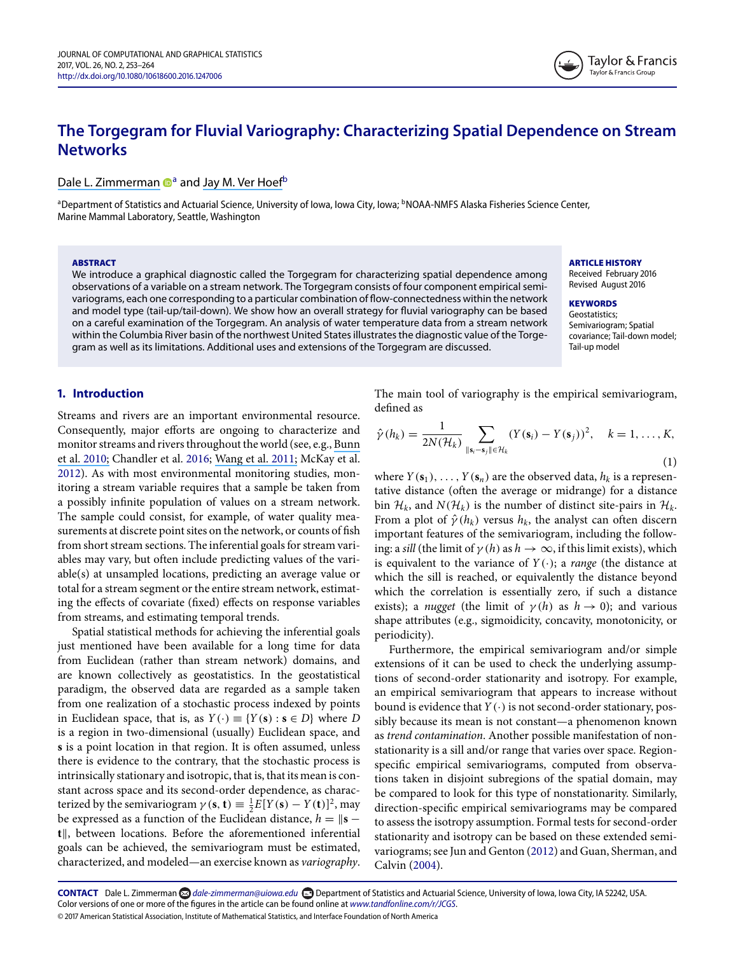# **The Torgegram for Fluvial Variography: Characterizing Spatial Dependence on Stream Networks**

[Dale L. Zimmerman](https://www.researchgate.net/profile/Dale_Zimmerman?el=1_x_100&enrichId=rgreq-2e7ef4f1f3b58aa5d8369ed9f770e8fe-XXX&enrichSource=Y292ZXJQYWdlOzMwOTQ2NTc2MztBUzo0OTk0MTczMTI5MDcyNjRAMTQ5NjA4MTc3NDM4Mw==)  $\mathbf{O}^a$  $\mathbf{O}^a$  $\mathbf{O}^a$  $\mathbf{O}^a$  $\mathbf{O}^a$  and [Jay M. Ver Hoef](https://www.researchgate.net/profile/Jay_Ver_Hoef?el=1_x_100&enrichId=rgreq-2e7ef4f1f3b58aa5d8369ed9f770e8fe-XXX&enrichSource=Y292ZXJQYWdlOzMwOTQ2NTc2MztBUzo0OTk0MTczMTI5MDcyNjRAMTQ5NjA4MTc3NDM4Mw==)<sup>b</sup>

<span id="page-0-0"></span><sup>a</sup>Department of Statistics and Actuarial Science, University of Iowa, Iowa City, Iowa; <sup>b</sup>NOAA-NMFS Alaska Fisheries Science Center, Marine Mammal Laboratory, Seattle, Washington

#### **ABSTRACT**

We introduce a graphical diagnostic called the Torgegram for characterizing spatial dependence among observations of a variable on a stream network. The Torgegram consists of four component empirical semivariograms, each one corresponding to a particular combination of flow-connectedness within the network and model type (tail-up/tail-down). We show how an overall strategy for fluvial variography can be based on a careful examination of the Torgegram. An analysis of water temperature data from a stream network within the Columbia River basin of the northwest United States illustrates the diagnostic value of the Torgegram as well as its limitations. Additional uses and extensions of the Torgegram are discussed.

#### <span id="page-0-1"></span>**ARTICLE HISTORY** Received February

Revised August

#### **KEYWORDS**

Geostatistics; Semivariogram; Spatial covariance; Tail-down model; Tail-up model

# **1. Introduction**

<span id="page-0-6"></span><span id="page-0-3"></span><span id="page-0-2"></span>Streams and rivers are an important environmental resource. Consequently, major efforts are ongoing to characterize and monitor streams and rivers throughout the world (see, e.g., [Bunn](https://www.researchgate.net/publication/45488343_Integration_of_science_and_monitoring_of_river_ecosystem_health_to_guide_investments_in_catchment_protection_and_rehabilitation?el=1_x_8&enrichId=rgreq-2e7ef4f1f3b58aa5d8369ed9f770e8fe-XXX&enrichSource=Y292ZXJQYWdlOzMwOTQ2NTc2MztBUzo0OTk0MTczMTI5MDcyNjRAMTQ5NjA4MTc3NDM4Mw==) et al. [2010](#page-10-0)[;](https://www.researchgate.net/publication/45488343_Integration_of_science_and_monitoring_of_river_ecosystem_health_to_guide_investments_in_catchment_protection_and_rehabilitation?el=1_x_8&enrichId=rgreq-2e7ef4f1f3b58aa5d8369ed9f770e8fe-XXX&enrichSource=Y292ZXJQYWdlOzMwOTQ2NTc2MztBUzo0OTk0MTczMTI5MDcyNjRAMTQ5NjA4MTc3NDM4Mw==) Chandler et al. [2016;](#page-10-1) [Wang et al.](https://www.researchgate.net/publication/254305264_A_Hierarchical_Spatial_Framework_and_Database_for_the_National_River_Fish_Habitat_Condition_Assessment?el=1_x_8&enrichId=rgreq-2e7ef4f1f3b58aa5d8369ed9f770e8fe-XXX&enrichSource=Y292ZXJQYWdlOzMwOTQ2NTc2MztBUzo0OTk0MTczMTI5MDcyNjRAMTQ5NjA4MTc3NDM4Mw==) [2011;](#page-11-0) McKay et al. [2012\)](#page-11-1). As with most environmental monitoring studies, monitoring a stream variable requires that a sample be taken from a possibly infinite population of values on a stream network. The sample could consist, for example, of water quality measurements at discrete point sites on the network, or counts of fish from short stream sections. The inferential goals for stream variables may vary, but often include predicting values of the variable(s) at unsampled locations, predicting an average value or total for a stream segment or the entire stream network, estimating the effects of covariate (fixed) effects on response variables from streams, and estimating temporal trends.

Spatial statistical methods for achieving the inferential goals just mentioned have been available for a long time for data from Euclidean (rather than stream network) domains, and are known collectively as geostatistics. In the geostatistical paradigm, the observed data are regarded as a sample taken from one realization of a stochastic process indexed by points in Euclidean space, that is, as  $Y(\cdot) \equiv \{Y(\mathbf{s}) : \mathbf{s} \in D\}$  where *D* is a region in two-dimensional (usually) Euclidean space, and **s** is a point location in that region. It is often assumed, unless there is evidence to the contrary, that the stochastic process is intrinsically stationary and isotropic, that is, that its mean is constant across space and its second-order dependence, as characterized by the semivariogram  $\gamma$  (**s**, **t**) =  $\frac{1}{2}\overline{E}[Y(\mathbf{s}) - Y(\mathbf{t})]^2$ , may be expressed as a function of the Euclidean distance,  $h = \|\mathbf{s} - \mathbf{s}\|$ t||, between locations. Before the aforementioned inferential goals can be achieved, the semivariogram must be estimated, characterized, and modeled—an exercise known as *variography*.

The main tool of variography is the empirical semivariogram, defined as

$$
\hat{\gamma}(h_k) = \frac{1}{2N(\mathcal{H}_k)} \sum_{\|\mathbf{s}_i - \mathbf{s}_j\| \in \mathcal{H}_k} (Y(\mathbf{s}_i) - Y(\mathbf{s}_j))^2, \quad k = 1, \dots, K,
$$
\n(1)

<span id="page-0-7"></span>where  $Y(\mathbf{s}_1), \ldots, Y(\mathbf{s}_n)$  are the observed data,  $h_k$  is a representative distance (often the average or midrange) for a distance bin  $\mathcal{H}_k$ , and  $N(\mathcal{H}_k)$  is the number of distinct site-pairs in  $\mathcal{H}_k$ . From a plot of  $\hat{\gamma}(h_k)$  versus  $h_k$ , the analyst can often discern important features of the semivariogram, including the following: a *sill* (the limit of  $\gamma(h)$  as  $h \to \infty$ , if this limit exists), which is equivalent to the variance of  $Y(\cdot)$ ; a *range* (the distance at which the sill is reached, or equivalently the distance beyond which the correlation is essentially zero, if such a distance exists); a *nugget* (the limit of  $\gamma(h)$  as  $h \to 0$ ); and various shape attributes (e.g., sigmoidicity, concavity, monotonicity, or periodicity).

<span id="page-0-5"></span><span id="page-0-4"></span>Furthermore, the empirical semivariogram and/or simple extensions of it can be used to check the underlying assumptions of second-order stationarity and isotropy. For example, an empirical semivariogram that appears to increase without bound is evidence that  $Y(\cdot)$  is not second-order stationary, possibly because its mean is not constant—a phenomenon known as *trend contamination*. Another possible manifestation of nonstationarity is a sill and/or range that varies over space. Regionspecific empirical semivariograms, computed from observations taken in disjoint subregions of the spatial domain, may be compared to look for this type of nonstationarity. Similarly, direction-specific empirical semivariograms may be compared to assess the isotropy assumption. Formal tests for second-order stationarity and isotropy can be based on these extended semivariograms; see Jun and Genton [\(2012\)](#page-11-2) and Guan, Sherman, and Calvin [\(2004\)](#page-11-3).

CONTACT Dale L. Zimmerman *⊠ [dale-zimmerman@uiowa.edu](mailto:dale-zimmerman@uiowa.edu)* **D**epartment of Statistics and Actuarial Science, University of Iowa, Iowa City, IA 52242, USA. Color versions of one or more of the figures in the article can be found online at *[www.tandfonline.com/r/JCGS](http://www.tandfonline.com/r/JCGS)*.

Taylor & Francis Taylor & Francis Group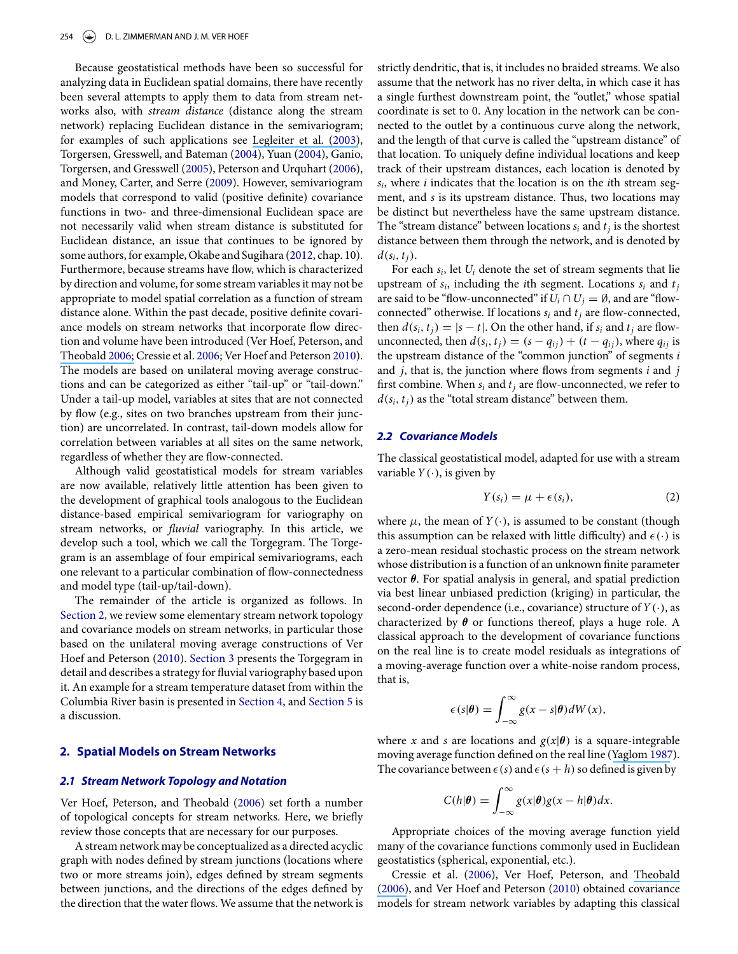<span id="page-1-4"></span>Because geostatistical methods have been so successful for analyzing data in Euclidean spatial domains, there have recently been several attempts to apply them to data from stream networks also, with *stream distance* (distance along the stream network) replacing Euclidean distance in the semivariogram; for examples of such applications see [Legleiter et al. \(](https://www.researchgate.net/publication/222517400_Fluvial_Response_a_Decade_after_Wildfire_in_the_Northern_Yellowstone_Ecosystem_A_Spatially_Explicit_Analysis?el=1_x_8&enrichId=rgreq-2e7ef4f1f3b58aa5d8369ed9f770e8fe-XXX&enrichSource=Y292ZXJQYWdlOzMwOTQ2NTc2MztBUzo0OTk0MTczMTI5MDcyNjRAMTQ5NjA4MTc3NDM4Mw==)[2003](#page-11-4)[\)](https://www.researchgate.net/publication/222517400_Fluvial_Response_a_Decade_after_Wildfire_in_the_Northern_Yellowstone_Ecosystem_A_Spatially_Explicit_Analysis?el=1_x_8&enrichId=rgreq-2e7ef4f1f3b58aa5d8369ed9f770e8fe-XXX&enrichSource=Y292ZXJQYWdlOzMwOTQ2NTc2MztBUzo0OTk0MTczMTI5MDcyNjRAMTQ5NjA4MTc3NDM4Mw==), Torgersen, Gresswell, and Bateman [\(2004\)](#page-11-5), Yuan [\(2004\)](#page-11-6), Ganio, Torgersen, and Gresswell [\(2005\)](#page-11-7), Peterson and Urquhart [\(2006\)](#page-11-8), and Money, Carter, and Serre [\(2009\)](#page-11-9). However, semivariogram models that correspond to valid (positive definite) covariance functions in two- and three-dimensional Euclidean space are not necessarily valid when stream distance is substituted for Euclidean distance, an issue that continues to be ignored by some authors, for example, Okabe and Sugihara [\(2012,](#page-11-10) chap. 10). Furthermore, because streams have flow, which is characterized by direction and volume, for some stream variables it may not be appropriate to model spatial correlation as a function of stream distance alone. Within the past decade, positive definite covariance models on stream networks that incorporate flow direction and volume have been introduced (Ver Hoef, Peterson, and [Theobald](https://www.researchgate.net/publication/225621171_Spatial_statistical_models_that_use_flow_and_stream_distance?el=1_x_8&enrichId=rgreq-2e7ef4f1f3b58aa5d8369ed9f770e8fe-XXX&enrichSource=Y292ZXJQYWdlOzMwOTQ2NTc2MztBUzo0OTk0MTczMTI5MDcyNjRAMTQ5NjA4MTc3NDM4Mw==) [2006;](#page-11-11) Cressie et al. [2006;](#page-10-2) Ver Hoef and Peterson [2010\)](#page-11-12). The models are based on unilateral moving average constructions and can be categorized as either "tail-up" or "tail-down." Under a tail-up model, variables at sites that are not connected by flow (e.g., sites on two branches upstream from their junction) are uncorrelated. In contrast, tail-down models allow for correlation between variables at all sites on the same network, regardless of whether they are flow-connected.

<span id="page-1-11"></span>Although valid geostatistical models for stream variables are now available, relatively little attention has been given to the development of graphical tools analogous to the Euclidean distance-based empirical semivariogram for variography on stream networks, or *fluvial* variography. In this article, we develop such a tool, which we call the Torgegram. The Torgegram is an assemblage of four empirical semivariograms, each one relevant to a particular combination of flow-connectedness and model type (tail-up/tail-down).

The remainder of the article is organized as follows. In [Section 2,](#page-1-0) we review some elementary stream network topology and covariance models on stream networks, in particular those based on the unilateral moving average constructions of Ver Hoef and Peterson [\(2010\)](#page-11-12). [Section 3](#page-2-0) presents the Torgegram in detail and describes a strategy for fluvial variography based upon it. An example for a stream temperature dataset from within the Columbia River basin is presented in [Section 4,](#page-7-0) and [Section 5](#page-9-0) is a discussion.

### <span id="page-1-0"></span>**2. Spatial Models on Stream Networks**

### *2.1 Stream Network Topology and Notation*

Ver Hoef, Peterson, and Theobald [\(2006\)](#page-11-11) set forth a number of topological concepts for stream networks. Here, we briefly review those concepts that are necessary for our purposes.

A stream network may be conceptualized as a directed acyclic graph with nodes defined by stream junctions (locations where two or more streams join), edges defined by stream segments between junctions, and the directions of the edges defined by the direction that the water flows. We assume that the network is <span id="page-1-13"></span><span id="page-1-9"></span><span id="page-1-5"></span>strictly dendritic, that is, it includes no braided streams. We also assume that the network has no river delta, in which case it has a single furthest downstream point, the "outlet," whose spatial coordinate is set to 0. Any location in the network can be connected to the outlet by a continuous curve along the network, and the length of that curve is called the "upstream distance" of that location. To uniquely define individual locations and keep track of their upstream distances, each location is denoted by *si*, where *i* indicates that the location is on the *i*th stream segment, and *s* is its upstream distance. Thus, two locations may be distinct but nevertheless have the same upstream distance. The "stream distance" between locations  $s_i$  and  $t_j$  is the shortest distance between them through the network, and is denoted by  $d(s_i, t_j)$ .

<span id="page-1-8"></span><span id="page-1-7"></span><span id="page-1-6"></span>For each *si*, let *Ui* denote the set of stream segments that lie upstream of  $s_i$ , including the *i*th segment. Locations  $s_i$  and  $t_j$ are said to be "flow-unconnected" if  $U_i \cap U_j = \emptyset$ , and are "flowconnected" otherwise. If locations  $s_i$  and  $t_j$  are flow-connected, then  $d(s_i, t_j) = |s - t|$ . On the other hand, if  $s_i$  and  $t_j$  are flowunconnected, then  $d(s_i, t_j) = (s - q_{ij}) + (t - q_{ij})$ , where  $q_{ij}$  is the upstream distance of the "common junction" of segments *i* and *j*, that is, the junction where flows from segments *i* and *j* first combine. When  $s_i$  and  $t_j$  are flow-unconnected, we refer to  $d(s_i, t_i)$  as the "total stream distance" between them.

# <span id="page-1-10"></span><span id="page-1-3"></span><span id="page-1-1"></span>*2.2 Covariance Models*

The classical geostatistical model, adapted for use with a stream variable  $Y(\cdot)$ , is given by

<span id="page-1-2"></span>
$$
Y(s_i) = \mu + \epsilon(s_i), \tag{2}
$$

where  $\mu$ , the mean of  $Y(\cdot)$ , is assumed to be constant (though this assumption can be relaxed with little difficulty) and  $\epsilon(\cdot)$  is a zero-mean residual stochastic process on the stream network whose distribution is a function of an unknown finite parameter vector *θ*. For spatial analysis in general, and spatial prediction via best linear unbiased prediction (kriging) in particular, the second-order dependence (i.e., covariance) structure of  $Y(\cdot)$ , as characterized by *θ* or functions thereof, plays a huge role. A classical approach to the development of covariance functions on the real line is to create model residuals as integrations of a moving-average function over a white-noise random process, that is,

$$
\epsilon(s|\pmb{\theta}) = \int_{-\infty}^{\infty} g(x-s|\pmb{\theta}) dW(x),
$$

where *x* and *s* are locations and  $g(x|\theta)$  is a square-integrable moving average function defined on the real line ([Yaglom](https://www.researchgate.net/publication/313914860_Correlation_Theory_of_Stationary_and_Related_Random_Functions?el=1_x_8&enrichId=rgreq-2e7ef4f1f3b58aa5d8369ed9f770e8fe-XXX&enrichSource=Y292ZXJQYWdlOzMwOTQ2NTc2MztBUzo0OTk0MTczMTI5MDcyNjRAMTQ5NjA4MTc3NDM4Mw==) [1987\)](#page-11-13). The covariance between  $\epsilon(s)$  and  $\epsilon(s + h)$  so defined is given by

<span id="page-1-12"></span>
$$
C(h|\boldsymbol{\theta}) = \int_{-\infty}^{\infty} g(x|\boldsymbol{\theta})g(x-h|\boldsymbol{\theta})dx.
$$

Appropriate choices of the moving average function yield many of the covariance functions commonly used in Euclidean geostatistics (spherical, exponential, etc.).

Cressie et al. [\(2006\)](#page-10-2), Ver Hoef, Peterson, and [Theobald](https://www.researchgate.net/publication/225621171_Spatial_statistical_models_that_use_flow_and_stream_distance?el=1_x_8&enrichId=rgreq-2e7ef4f1f3b58aa5d8369ed9f770e8fe-XXX&enrichSource=Y292ZXJQYWdlOzMwOTQ2NTc2MztBUzo0OTk0MTczMTI5MDcyNjRAMTQ5NjA4MTc3NDM4Mw==) [\(](https://www.researchgate.net/publication/225621171_Spatial_statistical_models_that_use_flow_and_stream_distance?el=1_x_8&enrichId=rgreq-2e7ef4f1f3b58aa5d8369ed9f770e8fe-XXX&enrichSource=Y292ZXJQYWdlOzMwOTQ2NTc2MztBUzo0OTk0MTczMTI5MDcyNjRAMTQ5NjA4MTc3NDM4Mw==)[2006\)](#page-11-11), and Ver Hoef and Peterson [\(2010\)](#page-11-12) obtained covariance models for stream network variables by adapting this classical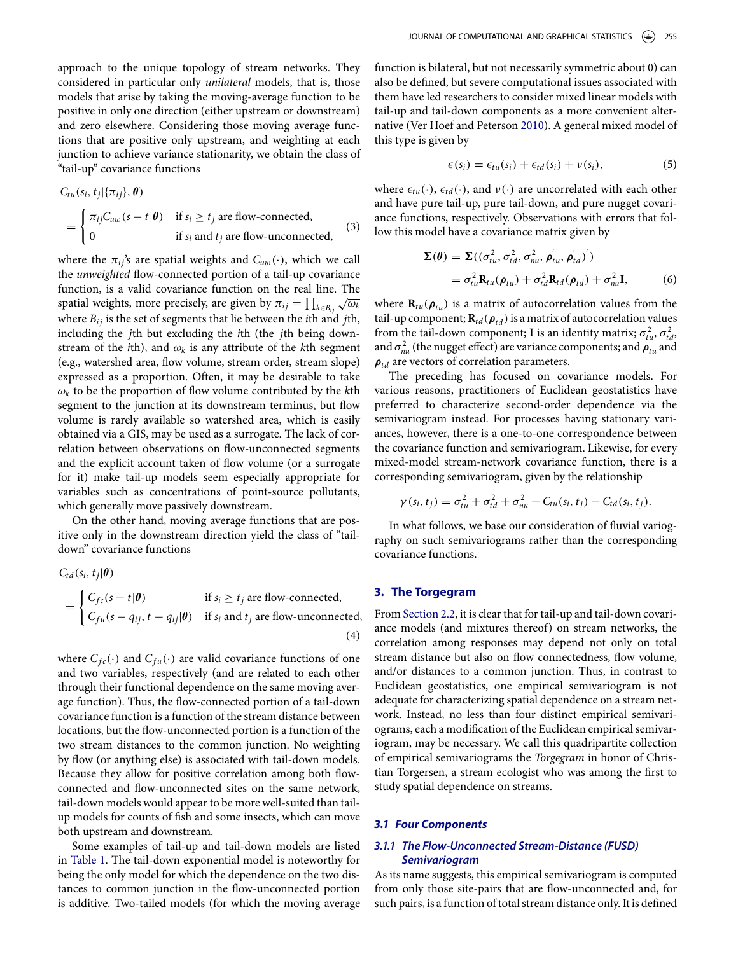approach to the unique topology of stream networks. They considered in particular only *unilateral* models, that is, those models that arise by taking the moving-average function to be positive in only one direction (either upstream or downstream) and zero elsewhere. Considering those moving average functions that are positive only upstream, and weighting at each junction to achieve variance stationarity, we obtain the class of "tail-up" covariance functions

$$
C_{tu}(s_i, t_j | \{\pi_{ij}\}, \theta)
$$
  
= 
$$
\begin{cases} \pi_{ij}C_{uw}(s-t|\theta) & \text{if } s_i \ge t_j \text{ are flow-connected,} \\ 0 & \text{if } s_i \text{ and } t_j \text{ are flow-unconnected,} \end{cases}
$$
 (3)

where the  $\pi_{ij}$ 's are spatial weights and  $C_{uw}(\cdot)$ , which we call the *unweighted* flow-connected portion of a tail-up covariance function, is a valid covariance function on the real line. The spatial weights, more precisely, are given by  $\pi_{ij} = \prod_{k \in B_{ij}} \sqrt{\omega_k}$ where *Bi j* is the set of segments that lie between the *i*th and *j*th, including the *j*th but excluding the *i*th (the *j*th being downstream of the *i*th), and  $\omega_k$  is any attribute of the *k*th segment (e.g., watershed area, flow volume, stream order, stream slope) expressed as a proportion. Often, it may be desirable to take  $\omega_k$  to be the proportion of flow volume contributed by the *k*th segment to the junction at its downstream terminus, but flow volume is rarely available so watershed area, which is easily obtained via a GIS, may be used as a surrogate. The lack of correlation between observations on flow-unconnected segments and the explicit account taken of flow volume (or a surrogate for it) make tail-up models seem especially appropriate for variables such as concentrations of point-source pollutants, which generally move passively downstream.

On the other hand, moving average functions that are positive only in the downstream direction yield the class of "taildown" covariance functions

$$
C_{td}(s_i, t_j | \boldsymbol{\theta})
$$
  
= 
$$
\begin{cases} C_{fc}(s-t | \boldsymbol{\theta}) & \text{if } s_i \ge t_j \text{ are flow-connected,} \\ C_{fu}(s-q_{ij}, t-q_{ij} | \boldsymbol{\theta}) & \text{if } s_i \text{ and } t_j \text{ are flow-unconnected,} \end{cases}
$$
(4)

where  $C_{fc}(\cdot)$  and  $C_{fu}(\cdot)$  are valid covariance functions of one and two variables, respectively (and are related to each other through their functional dependence on the same moving average function). Thus, the flow-connected portion of a tail-down covariance function is a function of the stream distance between locations, but the flow-unconnected portion is a function of the two stream distances to the common junction. No weighting by flow (or anything else) is associated with tail-down models. Because they allow for positive correlation among both flowconnected and flow-unconnected sites on the same network, tail-down models would appear to be more well-suited than tailup models for counts of fish and some insects, which can move both upstream and downstream.

Some examples of tail-up and tail-down models are listed in [Table 1.](#page-3-0) The tail-down exponential model is noteworthy for being the only model for which the dependence on the two distances to common junction in the flow-unconnected portion is additive. Two-tailed models (for which the moving average

function is bilateral, but not necessarily symmetric about 0) can also be defined, but severe computational issues associated with them have led researchers to consider mixed linear models with tail-up and tail-down components as a more convenient alternative (Ver Hoef and Peterson [2010\)](#page-11-12). A general mixed model of this type is given by

<span id="page-2-4"></span><span id="page-2-3"></span><span id="page-2-2"></span>
$$
\epsilon(s_i) = \epsilon_{tu}(s_i) + \epsilon_{td}(s_i) + \nu(s_i), \qquad (5)
$$

<span id="page-2-1"></span>where  $\epsilon_{tu}(\cdot)$ ,  $\epsilon_{td}(\cdot)$ , and  $v(\cdot)$  are uncorrelated with each other and have pure tail-up, pure tail-down, and pure nugget covariance functions, respectively. Observations with errors that follow this model have a covariance matrix given by

$$
\Sigma(\theta) = \Sigma((\sigma_{tu}^2, \sigma_{td}^2, \sigma_{nu}^2, \rho_{tu}', \rho_{td}')')
$$
  
=  $\sigma_{tu}^2 \mathbf{R}_{tu}(\rho_{tu}) + \sigma_{td}^2 \mathbf{R}_{td}(\rho_{td}) + \sigma_{nu}^2 \mathbf{I},$  (6)

where  $\mathbf{R}_{tu}(\rho_{tu})$  is a matrix of autocorrelation values from the tail-up component;  $\mathbf{R}_{td}(\boldsymbol{\rho}_{td})$  is a matrix of autocorrelation values from the tail-down component; **I** is an identity matrix;  $\sigma_{tu}^2$ ,  $\sigma_{td}^2$ , and  $\sigma_{nu}^2$  (the nugget effect) are variance components; and  $\rho_{tu}$  and  $\rho_{td}$  are vectors of correlation parameters.

The preceding has focused on covariance models. For various reasons, practitioners of Euclidean geostatistics have preferred to characterize second-order dependence via the semivariogram instead. For processes having stationary variances, however, there is a one-to-one correspondence between the covariance function and semivariogram. Likewise, for every mixed-model stream-network covariance function, there is a corresponding semivariogram, given by the relationship

$$
\gamma(s_i, t_j) = \sigma_{tu}^2 + \sigma_{td}^2 + \sigma_{nu}^2 - C_{tu}(s_i, t_j) - C_{td}(s_i, t_j).
$$

In what follows, we base our consideration of fluvial variography on such semivariograms rather than the corresponding covariance functions.

### **3. The Torgegram**

<span id="page-2-0"></span>From [Section 2.2,](#page-1-1) it is clear that for tail-up and tail-down covariance models (and mixtures thereof) on stream networks, the correlation among responses may depend not only on total stream distance but also on flow connectedness, flow volume, and/or distances to a common junction. Thus, in contrast to Euclidean geostatistics, one empirical semivariogram is not adequate for characterizing spatial dependence on a stream network. Instead, no less than four distinct empirical semivariograms, each a modification of the Euclidean empirical semivariogram, may be necessary. We call this quadripartite collection of empirical semivariograms the *Torgegram* in honor of Christian Torgersen, a stream ecologist who was among the first to study spatial dependence on streams.

# *3.1 Four Components*

# *.. The Flow-Unconnected Stream-Distance (FUSD) Semivariogram*

As its name suggests, this empirical semivariogram is computed from only those site-pairs that are flow-unconnected and, for such pairs, is a function of total stream distance only. It is defined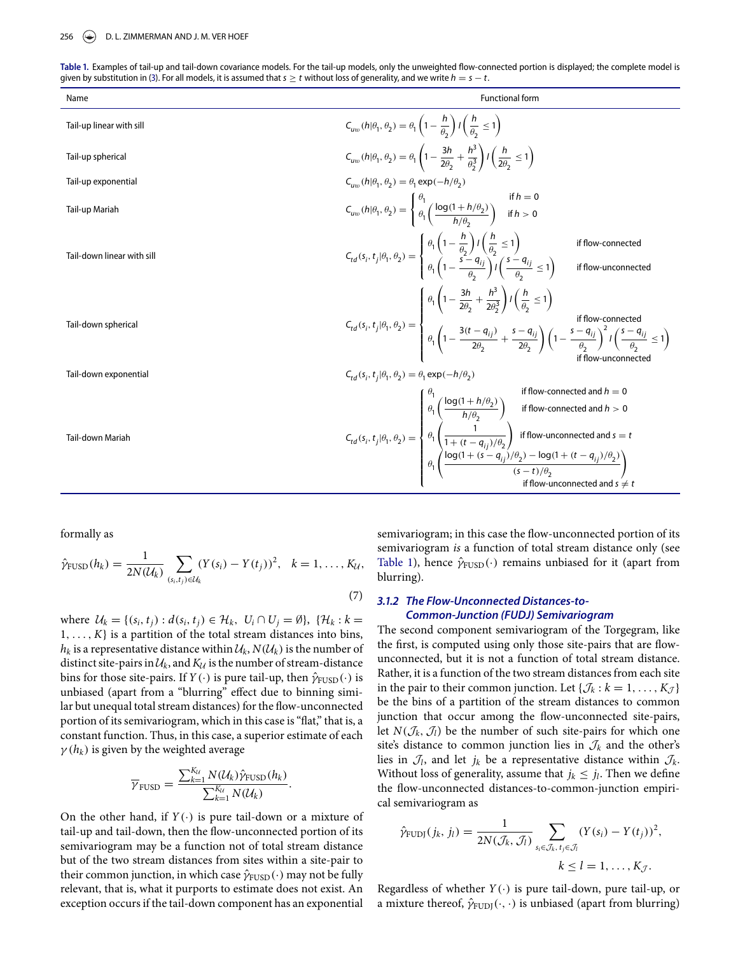#### 256  $\left(\frac{1}{2}\right)$  D. L. ZIMMERMAN AND J. M. VER HOEF

<span id="page-3-0"></span>Table 1. Examples of tail-up and tail-down covariance models. For the tail-up models, only the unweighted flow-connected portion is displayed; the complete model is given by substitution in (3). For all models, it is assumed that  $s \ge t$  without loss of generality, and we write  $h = s - t$ .

| Name                       | <b>Functional form</b>                                                                                                                                                                                                                                                                                                                                                                                                                                                             |  |  |  |  |
|----------------------------|------------------------------------------------------------------------------------------------------------------------------------------------------------------------------------------------------------------------------------------------------------------------------------------------------------------------------------------------------------------------------------------------------------------------------------------------------------------------------------|--|--|--|--|
| Tail-up linear with sill   | $C_{uw}(h \theta_1, \theta_2) = \theta_1 \left(1 - \frac{h}{\theta}\right) l\left(\frac{h}{\theta} \le 1\right)$                                                                                                                                                                                                                                                                                                                                                                   |  |  |  |  |
| Tail-up spherical          | $C_{uw}(h \theta_1, \theta_2) = \theta_1 \left(1 - \frac{3h}{2\theta_2} + \frac{h^3}{\theta_2^3}\right)l\left(\frac{h}{2\theta_2} \le 1\right)$                                                                                                                                                                                                                                                                                                                                    |  |  |  |  |
| Tail-up exponential        | $C_{\mu\nu}$ (h  $\theta_1$ , $\theta_2$ ) = $\theta_1$ exp(-h/ $\theta_2$ )                                                                                                                                                                                                                                                                                                                                                                                                       |  |  |  |  |
| Tail-up Mariah             | $C_{uw}(h \theta_1, \theta_2) = \begin{cases} \theta_1 & \text{if } h = 0 \\ \theta_1 \left( \frac{\log(1 + h/\theta_2)}{h/\theta} \right) & \text{if } h > 0 \end{cases}$                                                                                                                                                                                                                                                                                                         |  |  |  |  |
| Tail-down linear with sill |                                                                                                                                                                                                                                                                                                                                                                                                                                                                                    |  |  |  |  |
|                            | $C_{td}(s_i, t_j   \theta_1, \theta_2) = \begin{cases} \theta_1 \left(1 - \frac{H}{\theta_2}\right) / \left(\frac{H}{\theta_2} \le 1\right) & \text{if flow-connected} \\ \theta_1 \left(1 - \frac{s - q_{ij}}{\theta_2}\right) / \left(\frac{s - q_{ij}}{\theta_2} \le 1\right) & \text{if flow-unconnected} \end{cases}$                                                                                                                                                         |  |  |  |  |
| Tail-down spherical        | $C_{td}(s_i,t_j \theta_1,\theta_2)=\left\{ \begin{array}{ll} \theta_1\left(1-\frac{3h}{2\theta_2}+\frac{h^3}{2\theta_2^3}\right)l\left(\frac{h}{\theta_2}\leq 1\right) & \text{if flow-connected} \\ \theta_1\left(1-\frac{3(t-q_{ij})}{2\theta_2}+\frac{s-q_{ij}}{2\theta_2}\right)\left(1-\frac{s-q_{ij}}{\theta_2}\right)^2l\left(\frac{s-q_{ij}}{\theta_2}\leq 1\right) \\ \text{if flow-unconnected} & \text{if flow-unconnected} \end{array} \right.$<br>if flow-unconnected |  |  |  |  |
| Tail-down exponential      | $C_{td}(s_i, t_i   \theta_1, \theta_2) = \theta_1 \exp(-h/\theta_2)$                                                                                                                                                                                                                                                                                                                                                                                                               |  |  |  |  |
|                            | $C_{td}(s_i, t_j   \theta_1, \theta_2) = \begin{cases} \theta_1 & \text{if flow-connected and } h = 0 \\ \theta_1 \left( \frac{\log(1 + h/\theta_2)}{h/\theta_2} \right) & \text{if flow-connected and } h > 0 \\ \theta_1 \left( \frac{1}{1 + (t - q_{ij})/\theta_2} \right) & \text{if flow-unconnected and } s = t \\ \theta_1 \left( \frac{\log(1 + (s - q_{ij})/\theta_2) - \log(1 + (t - q_{ij})/\theta_2)}{(s - t)/\theta_2} \right) & \end{cases}$                         |  |  |  |  |
| Tail-down Mariah           |                                                                                                                                                                                                                                                                                                                                                                                                                                                                                    |  |  |  |  |
|                            | flow-unconnected and $s \neq t$                                                                                                                                                                                                                                                                                                                                                                                                                                                    |  |  |  |  |

formally as

$$
\hat{\gamma}_{\text{FUSD}}(h_k) = \frac{1}{2N(\mathcal{U}_k)} \sum_{(s_i, t_j) \in \mathcal{U}_k} (Y(s_i) - Y(t_j))^2, \quad k = 1, ..., K_{\mathcal{U}},
$$
\n(7)

where  $U_k = \{(s_i, t_j) : d(s_i, t_j) \in H_k, U_i \cap U_j = \emptyset\}, \{\mathcal{H}_k : k = \emptyset\}$ 1,..., *K*} is a partition of the total stream distances into bins,  $h_k$  is a representative distance within  $\mathcal{U}_k$ ,  $N(\mathcal{U}_k)$  is the number of distinct site-pairs in  $\mathcal{U}_k$ , and  $K_\mathcal{U}$  is the number of stream-distance bins for those site-pairs. If *Y*( $\cdot$ ) is pure tail-up, then  $\hat{\gamma}_{\text{FUSD}}(\cdot)$  is unbiased (apart from a "blurring" effect due to binning similar but unequal total stream distances) for the flow-unconnected portion of its semivariogram, which in this case is "flat," that is, a constant function. Thus, in this case, a superior estimate of each  $\gamma(h_k)$  is given by the weighted average

$$
\overline{\gamma}_{\text{FUSD}} = \frac{\sum_{k=1}^{K_{\mathcal{U}}} N(\mathcal{U}_k) \hat{\gamma}_{\text{FUSD}}(h_k)}{\sum_{k=1}^{K_{\mathcal{U}}} N(\mathcal{U}_k)}.
$$

On the other hand, if  $Y(\cdot)$  is pure tail-down or a mixture of tail-up and tail-down, then the flow-unconnected portion of its semivariogram may be a function not of total stream distance but of the two stream distances from sites within a site-pair to their common junction, in which case  $\hat{\gamma}_{\text{FUSD}}(\cdot)$  may not be fully relevant, that is, what it purports to estimate does not exist. An exception occurs if the tail-down component has an exponential

semivariogram; in this case the flow-unconnected portion of its semivariogram *is* a function of total stream distance only (see [Table 1\)](#page-3-0), hence  $\hat{\gamma}_{\text{FUSD}}(\cdot)$  remains unbiased for it (apart from blurring).

# *.. The Flow-Unconnected Distances-to-Common-Junction (FUDJ) Semivariogram*

The second component semivariogram of the Torgegram, like the first, is computed using only those site-pairs that are flowunconnected, but it is not a function of total stream distance. Rather, it is a function of the two stream distances from each site in the pair to their common junction. Let  $\{\mathcal{J}_k : k = 1, \ldots, K_{\mathcal{J}}\}$ be the bins of a partition of the stream distances to common junction that occur among the flow-unconnected site-pairs, let  $N(\mathcal{J}_k, \mathcal{J}_l)$  be the number of such site-pairs for which one site's distance to common junction lies in  $\mathcal{J}_k$  and the other's lies in  $\mathcal{J}_l$ , and let  $j_k$  be a representative distance within  $\mathcal{J}_k$ . Without loss of generality, assume that  $j_k \leq j_l$ . Then we define th[e](#page-4-0) flow-unconnected distances-to-common-junction empirical semivariogram as

$$
\hat{\gamma}_{\text{FUDJ}}(j_k, j_l) = \frac{1}{2N(\mathcal{J}_k, \mathcal{J}_l)} \sum_{s_i \in \mathcal{J}_k, t_j \in \mathcal{J}_l} (Y(s_i) - Y(t_j))^2,
$$
  

$$
k \le l = 1, ..., K_{\mathcal{J}}.
$$

Regardless of whether  $Y(\cdot)$  is pure tail-down, pure tail-up, or a mixture thereof,  $\hat{\gamma}_{\text{FUDI}}(\cdot, \cdot)$  is unbiased (apart from blurring)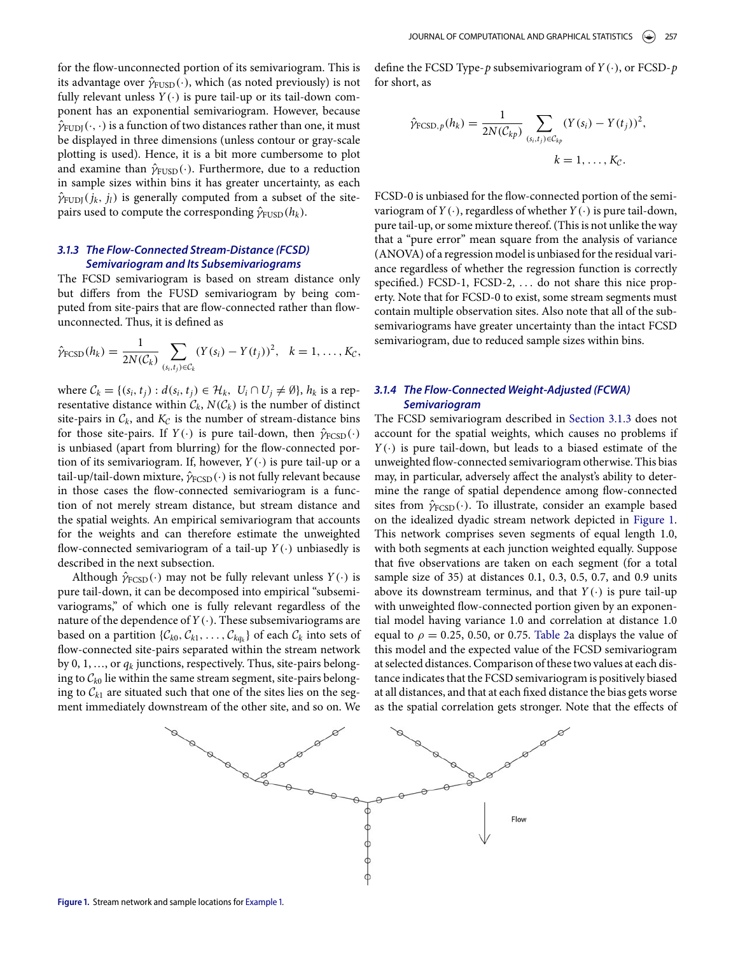for the flow-unconnected portion of its semivariogram. This is its advantage over  $\hat{\gamma}_{\text{FUSD}}(\cdot)$ , which (as noted previously) is not fully relevant unless  $Y(\cdot)$  is pure tail-up or its tail-down component has an exponential semivariogram. However, because  $\hat{\gamma}_{\text{FUDI}}(\cdot, \cdot)$  is a function of two distances rather than one, it must be displayed in three dimensions (unless contour or gray-scale plotting is used). Hence, it is a bit more cumbersome to plot and examine than  $\hat{\gamma}_{FUSD}(\cdot)$ . Furthermore, due to a reduction in sample sizes within bins it has greater uncertainty, as each  $\hat{\gamma}_{\text{FUDJ}}(j_k, j_l)$  is generally computed from a subset of the sitepairs used to compute the corresponding  $\hat{\gamma}_{\text{FUSD}}(h_k)$ .

# <span id="page-4-1"></span>*.. The Flow-Connected Stream-Distance (FCSD) Semivariogram and Its Subsemivariograms*

The FCSD semivariogram is based on stream distance only but differs from the FUSD semivariogram by being computed from site-pairs that are flow-connected rather than flowunconnected. Thus, it is defined as

$$
\hat{\gamma}_{\text{FCSD}}(h_k) = \frac{1}{2N(\mathcal{C}_k)} \sum_{(s_i, t_j) \in \mathcal{C}_k} (Y(s_i) - Y(t_j))^2, \quad k = 1, \ldots, K_{\mathcal{C}},
$$

where  $C_k = \{(s_i, t_j) : d(s_i, t_j) \in \mathcal{H}_k, \ U_i \cap U_j \neq \emptyset\}, h_k$  is a representative distance within  $C_k$ ,  $N(C_k)$  is the number of distinct site-pairs in  $C_k$ , and  $K_C$  is the number of stream-distance bins for those site-pairs. If  $Y(\cdot)$  is pure tail-down, then  $\hat{\gamma}_{\text{FCSD}}(\cdot)$ is unbiased (apart from blurring) for the flow-connected portion of its semivariogram. If, however,  $Y(\cdot)$  is pure tail-up or a tail-up/tail-down mixture,  $\hat{\gamma}_{\text{FCSD}}(\cdot)$  is not fully relevant because in those cases the flow-connected semivariogram is a function of not merely stream distance, but stream distance and the spatial weights. An empirical semivariogram that accounts for the weights and can therefore estimate the unweighted flow-connected semivariogram of a tail-up  $Y(\cdot)$  unbiasedly is described in the next subsection.

Although  $\hat{\gamma}_{FCSD}(\cdot)$  may not be fully relevant unless  $Y(\cdot)$  is pure tail-down, it can be decomposed into empirical "subsemivariograms," of which one is fully relevant regardless of the nature of the dependence of  $Y(\cdot)$ . These subsemivariograms are based on a partition  $\{\mathcal{C}_{k0}, \mathcal{C}_{k1}, \ldots, \mathcal{C}_{kq_k}\}\$  of each  $\mathcal{C}_k$  into sets of flow-connected site-pairs separated within the stream network by 0, 1, …, or *qk* junctions, respectively. Thus, site-pairs belonging to  $C_{k0}$  lie within the same stream segment, site-pairs belonging to  $C_{k1}$  are situated such that one of the sites lies on the segment immediately downstream of the other site, and so on. We

define the FCSD Type-*p* subsemivariogram of *Y*(·), or FCSD-*p* for short, as

$$
\hat{\gamma}_{\text{FCSD},p}(h_k) = \frac{1}{2N(\mathcal{C}_{kp})} \sum_{(s_i, t_j) \in \mathcal{C}_{kp}} (Y(s_i) - Y(t_j))^2,
$$
  

$$
k = 1, ..., K_{\mathcal{C}}.
$$

FCSD-0 is unbiased for the flow-connected portion of the semivariogram of  $Y(\cdot)$ , regardless of whether  $Y(\cdot)$  is pure tail-down, pure tail-up, or some mixture thereof. (This is not unlike the way that a "pure error" mean square from the analysis of variance (ANOVA) of a regression model is unbiased for the residual variance regardless of whether the regression function is correctly specified.) FCSD-1, FCSD-2, ... do not share this nice property. Note that for FCSD-0 to exist, some stream segments must contain multiple observation sites. Also note that all of the subsemivariograms have greater uncertainty than the intact FCSD semivariogram, due to reduced sample sizes within bins.

# <span id="page-4-2"></span>*.. The Flow-Connected Weight-Adjusted (FCWA) Semivariogram*

The FCSD semivariogram described in [Section 3.1.3](#page-4-1) does not account for the spatial weights, which causes no problems if  $Y(\cdot)$  is pure tail-down, but leads to a biased estimate of the unweighted flow-connected semivariogram otherwise. This bias may, in particular, adversely affect the analyst's ability to determine the range of spatial dependence among flow-connected sites from  $\hat{\gamma}_{\text{FCSD}}(\cdot)$ . To illustrate, consider an example based on the idealized dyadic stream network depicted in [Figure 1.](#page-4-0) This network comprises seven segments of equal length 1.0, with both segments at each junction weighted equally. Suppose that five observations are taken on each segment (for a total sample size of 35) at distances 0.1, 0.3, 0.5, 0.7, and 0.9 units above its downstream terminus, and that  $Y(\cdot)$  is pure tail-up with unweighted flow-connected portion given by an exponential model having variance 1.0 and correlation at distance 1.0 equal to  $\rho = 0.25, 0.50,$  or 0.75. [Table 2a](#page-5-0) displays the value of this model and the expected value of the FCSD semivariogra[m](#page-5-1) at selected distances. Comparison of these two values at each distance indicates that the FCSD semivariogram is positively biased at all distances, and that at each fixed distance the bias gets worse as the spatial correlation gets stronger. Note that the effects of

<span id="page-4-0"></span>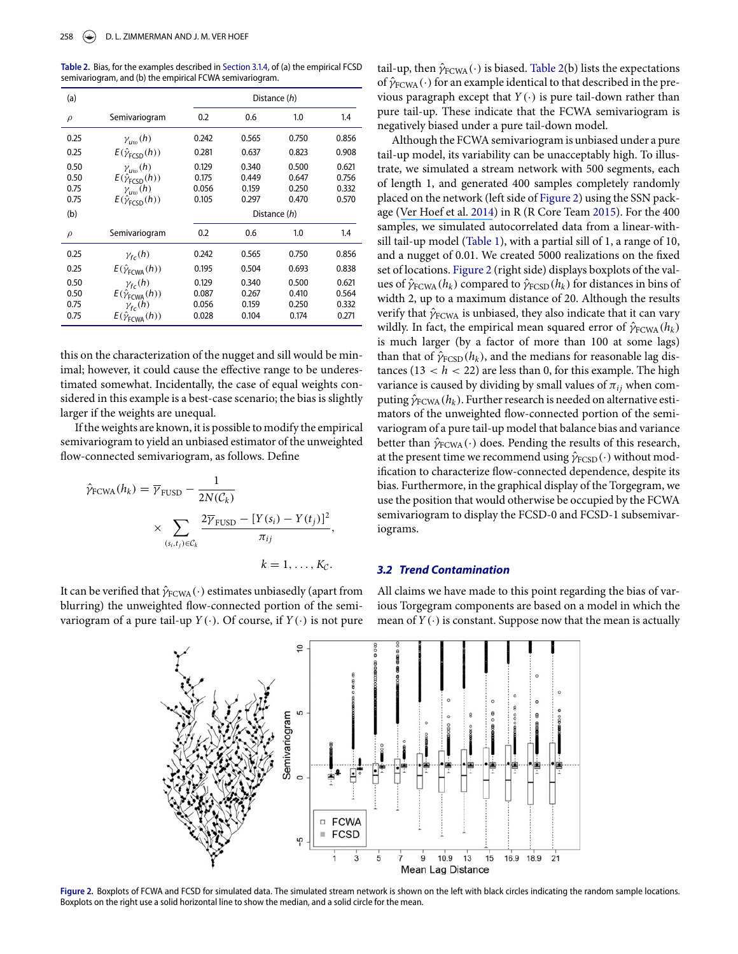<span id="page-5-0"></span>Table 2. Bias, for the examples described in Section 3.1.4, of (a) the empirical FCSD semivariogram, and (b) the empirical FCWA semivariogram.

| (a)                          |                                                                                                                             | Distance (h)                     |                                  |                                  |                                  |  |
|------------------------------|-----------------------------------------------------------------------------------------------------------------------------|----------------------------------|----------------------------------|----------------------------------|----------------------------------|--|
| $\rho$                       | Semivariogram                                                                                                               | 0.2                              | 0.6                              | 1.0                              | 1.4                              |  |
| 0.25                         | $\gamma_{uw}(h)$                                                                                                            | 0.242                            | 0.565                            | 0.750                            | 0.856                            |  |
| 0.25                         | $E(\hat{\gamma}_{\text{Eccn}}(h))$                                                                                          | 0.281                            | 0.637                            | 0.823                            | 0.908                            |  |
| 0.50<br>0.50<br>0.75<br>0.75 | $\gamma_{uw}(h)$<br>$E(\hat{\gamma}_{\text{FCSD}}(h))$<br>$\gamma_{uw}(h)$<br>$E(\hat{\gamma}_{\text{Eccn}}(h))$            | 0.129<br>0.175<br>0.056<br>0.105 | 0.340<br>0.449<br>0.159<br>0.297 | 0.500<br>0.647<br>0.250<br>0.470 | 0.621<br>0.756<br>0.332<br>0.570 |  |
| (b)                          |                                                                                                                             | Distance (h)                     |                                  |                                  |                                  |  |
| $\rho$                       | Semivariogram                                                                                                               | 0.2                              | 0.6                              | 1.0                              | 1.4                              |  |
| 0.25                         | $\gamma_{\text{fc}}(h)$                                                                                                     | 0.242                            | 0.565                            | 0.750                            | 0.856                            |  |
| 0.25                         | $E(\hat{\gamma}_{\text{FCWA}}(h))$                                                                                          | 0.195                            | 0.504                            | 0.693                            | 0.838                            |  |
| 0.50<br>0.50<br>0.75<br>0.75 | $\gamma_{fc}(h)$<br>$E(\hat{\gamma}_{\text{FCWA}}(h))$<br>$\widetilde{\gamma_{fc}(h)}$<br>$E(\widetilde{\gamma}_{FCWA}(h))$ | 0.129<br>0.087<br>0.056<br>0.028 | 0.340<br>0.267<br>0.159<br>0.104 | 0.500<br>0.410<br>0.250<br>0.174 | 0.621<br>0.564<br>0.332<br>0.271 |  |

this on the characterization of the nugget and sill would be minimal; however, it could cause the effective range to be underestimated somewhat. Incidentally, the case of equal weights considered in this example is a best-case scenario; the bias is slightly larger if the weights are unequal.

If the weights are known, it is possible to modify the empirical semivariogram to yield an unbiased estimator of the unweighted flow-connected semivariogram, as follows. Define

$$
\hat{\gamma}_{\text{FCWA}}(h_k) = \overline{\gamma}_{\text{FUSD}} - \frac{1}{2N(\mathcal{C}_k)} \times \sum_{(s_i, t_j) \in \mathcal{C}_k} \frac{2\overline{\gamma}_{\text{FUSD}} - [Y(s_i) - Y(t_j)]^2}{\pi_{ij}},
$$
\n
$$
k = 1, ..., K_{\mathcal{C}}.
$$

<span id="page-5-1"></span>It can be verified that  $\hat{\gamma}_{\text{FCWA}}(\cdot)$  estimates unbiasedly (apart from blurring) the unweighted flow-connected portion of the semivariogram of a pure tail-up  $Y(\cdot)$ . Of course, if  $Y(\cdot)$  is not pure tail-up, then  $\hat{\gamma}_{\text{FCWA}}(\cdot)$  is biased. [Table 2\(](#page-5-0)b) lists the expectations of  $\hat{\gamma}_{\text{FCWA}}(\cdot)$  for an example identical to that described in the previous paragraph except that  $Y(\cdot)$  is pure tail-down rather than pure tail-up. These indicate that the FCWA semivariogram is negatively biased under a pure tail-down model.

<span id="page-5-3"></span><span id="page-5-2"></span>Although the FCWA semivariogram is unbiased under a pure tail-up model, its variability can be unacceptably high. To illustrate, we simulated a stream network with 500 segments, each of length 1, and generated 400 samples completely randomly placed on the network (left side of [Figure 2\)](#page-5-1) using the SSN package ([Ver Hoef et al.](https://www.researchgate.net/publication/259913670_SSN_An_R_Package_for_Spatial_Statistical_Modeling_on_Stream_Networks?el=1_x_8&enrichId=rgreq-2e7ef4f1f3b58aa5d8369ed9f770e8fe-XXX&enrichSource=Y292ZXJQYWdlOzMwOTQ2NTc2MztBUzo0OTk0MTczMTI5MDcyNjRAMTQ5NjA4MTc3NDM4Mw==) [2014\)](#page-11-14) in R (R Core Team [2015\)](#page-11-15). For the 400 samples, we simulated autocorrelated data from a linear-withsill tail-up model [\(Table 1\)](#page-3-0), with a partial sill of 1, a range of 10, and a nugget of 0.01. We created 5000 realizations on the fixed set of locations. [Figure 2](#page-5-1) (right side) displays boxplots of the values of  $\hat{\gamma}_{\text{FCWA}}(h_k)$  compared to  $\hat{\gamma}_{\text{FCSD}}(h_k)$  for distances in bins of width 2, up to a maximum distance of 20. Although the results verify that  $\hat{\gamma}_{\text{FCWA}}$  is unbiased, they also indicate that it can vary wildly. In fact, the empirical mean squared error of  $\hat{\gamma}_{\text{FCWA}}(h_k)$ is much larger (by a factor of more than 100 at some lags) than that of  $\hat{\gamma}_{\text{FCSD}}(h_k)$ , and the medians for reasonable lag distances  $(13 < h < 22)$  are less than 0, for this example. The high variance is caused by dividing by small values of  $\pi_{ii}$  when computing  $\hat{\gamma}_{\text{FCWA}}(h_k)$ . Further research is needed on alternative estimators of the unweighted flow-connected portion of the semivariogram of a pure tail-up model that balance bias and variance better than  $\hat{\gamma}_{\text{FCWA}}(\cdot)$  does. Pending the results of this research, at the present time we recommend using  $\hat{\gamma}_{\text{FCSD}}(\cdot)$  without modification to characterize flow-connected dependence, despite its bias. Furthermore, in the graphical display of the Torgegram, we use the position that would otherwise be occupied by the FCWA semivariogram to display the FCSD-0 and FCSD-1 subsemivariograms.

### *3.2 Trend Contamination*

All claims we have made to this point regarding the bias of various Torgegram components are based on a model in which the mean of  $Y(\cdot)$  is constant. Suppose now that the mean is actually



Figure 2. Boxplots of FCWA and FCSD for simulated data. The simulated stream network is shown on the left with black circles indicating the random sample locations. Boxplots on the right use a solid horizontal line to show the median, and a solid circle for the mean.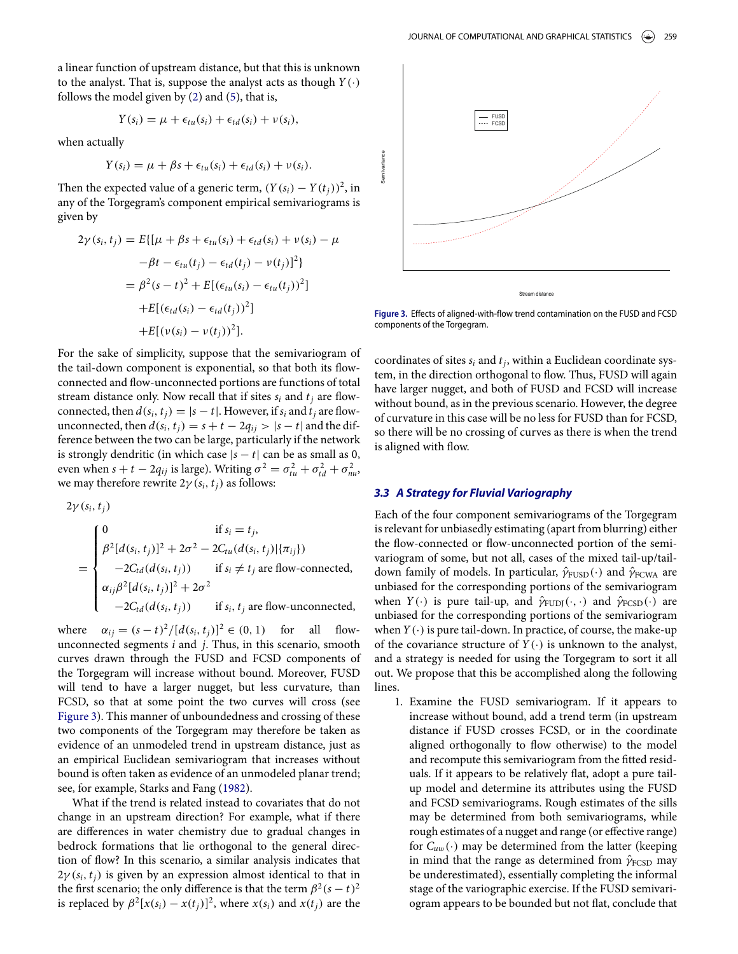a linear function of upstream distance, but that this is unknown to the analyst. That is, suppose the analyst acts as though  $Y(\cdot)$ follows the model given by [\(2\)](#page-1-2) and [\(5\)](#page-2-2), that is,

$$
Y(s_i) = \mu + \epsilon_{tu}(s_i) + \epsilon_{td}(s_i) + \nu(s_i),
$$

when actually

$$
Y(s_i) = \mu + \beta s + \epsilon_{tu}(s_i) + \epsilon_{td}(s_i) + \nu(s_i).
$$

Then the expected value of a generic term,  $(Y(s_i) - Y(t_i))^2$ , in any of the Torgegram's component empirical semivariograms is given by

$$
2\gamma(s_i, t_j) = E\{[\mu + \beta s + \epsilon_{tu}(s_i) + \epsilon_{td}(s_i) + \nu(s_i) - \mu -\beta t - \epsilon_{tu}(t_j) - \epsilon_{td}(t_j) - \nu(t_j)]^2\}
$$
  
=  $\beta^2(s - t)^2 + E[(\epsilon_{tu}(s_i) - \epsilon_{tu}(t_j))^2]$   
+  $E[(\epsilon_{td}(s_i) - \epsilon_{td}(t_j))^2]$   
+  $E[(\nu(s_i) - \nu(t_j))^2].$ 

For the sake of simplicity, suppose that the semivariogram of the tail-down component is exponential, so that both its flowconnected and flow-unconnected portions are functions of total stream distance only. Now recall that if sites  $s_i$  and  $t_j$  are flowconnected, then  $d(s_i, t_j) = |s - t|$ . However, if  $s_i$  and  $t_j$  are flowunconnected, then  $d(s_i, t_j) = s + t - 2q_{ij} > |s - t|$  and the difference between the two can be large, particularly if the network is strongly dendritic (in which case  $|s - t|$  can be as small as 0, even when  $s + t - 2q_{ij}$  is large). Writing  $\sigma^2 = \sigma_{tu}^2 + \sigma_{td}^2 + \sigma_{nu}^2$ , we may therefore rewrite  $2\gamma(s_i, t_j)$  as follows:

 $2\gamma(s_i,t_j)$ 

$$
= \begin{cases}\n0 & \text{if } s_i = t_j, \\
\beta^2 [d(s_i, t_j)]^2 + 2\sigma^2 - 2C_{tu}(d(s_i, t_j)|\{\pi_{ij}\}) \\
-2C_{td}(d(s_i, t_j)) & \text{if } s_i \neq t_j \text{ are flow-connected,} \\
\alpha_{ij}\beta^2 [d(s_i, t_j)]^2 + 2\sigma^2 \\
-2C_{td}(d(s_i, t_j)) & \text{if } s_i, t_j \text{ are flow-unconnected,}\n\end{cases}
$$

where  $\alpha_{ij} = (s - t)^2 / [d(s_i, t_j)]^2 \in (0, 1)$  for all flowunconnected segments *i* and *j*. Thus, in this scenario, smooth curves drawn through the FUSD and FCSD components of the Torgegram will increase without bound. Moreover, FUSD will tend to have a larger nugget, but less curvature, than FCSD, so that at some point the two curves will cross (see [Figure 3\)](#page-6-0). This manner of unboundedness and crossing of these two components of the Torgegram may therefore be taken as evidence of an unmodeled trend in upstream distance, just as an empirical Euclidean semivariogram that increases without bound is often taken as evidence of an unmodeled planar trend; see, for example, Starks and Fang [\(1982\)](#page-11-16).

What if the trend is related instead to covariates that do not change in an upstream direction? For example, what if there are differences in water chemistry due to gradual changes in bedrock formations that lie orthogonal to the general direction of flow? In this scenario, a similar analysis indicates that  $2\gamma(s_i, t_j)$  is given by an expression almost identical to that in the first scenario; the only difference is that the term  $\beta^2$  (*s* − *t*)<sup>2</sup> is replaced by  $\beta^2[x(s_i) - x(t_j)]^2$ , where  $x(s_i)$  and  $x(t_j)$  are the

<span id="page-6-0"></span>

Figure 3. Effects of aligned-with-flow trend contamination on the FUSD and FCSD components of the Torgegram.

coordinates of sites  $s_i$  and  $t_j$ , within a Euclidean coordinate system, in the direction orthogonal to flow. Thus, FUSD will again have larger nugget, and both of FUSD and FCSD will increase without bound, as in the previous scenario. However, the degree of curvature in this case will be no less for FUSD than for FCSD, so there will be no crossing of curves as there is when the trend is aligned with flow.

# *3.3 A Strategy for Fluvial Variography*

Each of the four component semivariograms of the Torgegram is relevant for unbiasedly estimating (apart from blurring) either the flow-connected or flow-unconnected portion of the semivariogram of some, but not all, cases of the mixed tail-up/taildown family of models. In particular,  $\hat{\gamma}_{FUSD}(\cdot)$  and  $\hat{\gamma}_{FCWA}$  are unbiased for the corresponding portions of the semivariogram when *Y*(·) is pure tail-up, and  $\hat{\gamma}_{\text{FUDJ}}(\cdot, \cdot)$  and  $\hat{\gamma}_{\text{FCSD}}(\cdot)$  are unbiased for the corresponding portions of the semivariogram when  $Y(\cdot)$  is pure tail-down. In practice, of course, the make-up of the covariance structure of  $Y(\cdot)$  is unknown to the analyst, and a strategy is needed for using the Torgegram to sort it all out. We propose that this be accomplished along the following lines.

<span id="page-6-1"></span>1. Examine the FUSD semivariogram. If it appears to increase without bound, add a trend term (in upstream distance if FUSD crosses FCSD, or in the coordinate aligned orthogonally to flow otherwise) to the model and recompute this semivariogram from the fitted residuals. If it appears to be relatively flat, adopt a pure tailup model and determine its attributes using the FUSD and FCSD semivariograms. Rough estimates of the sills may be determined from both semivariograms, while rough estimates of a nugget and range (or effective range) for  $C_{uw}(\cdot)$  may be determined from the latter (keeping in mind that the range as determined from  $\hat{\gamma}_{\text{FCSD}}$  may be underestimated), essentially completing the informal stage of the variographic exercise. If the FUSD semivariogram appears to be bounded but not flat, conclude that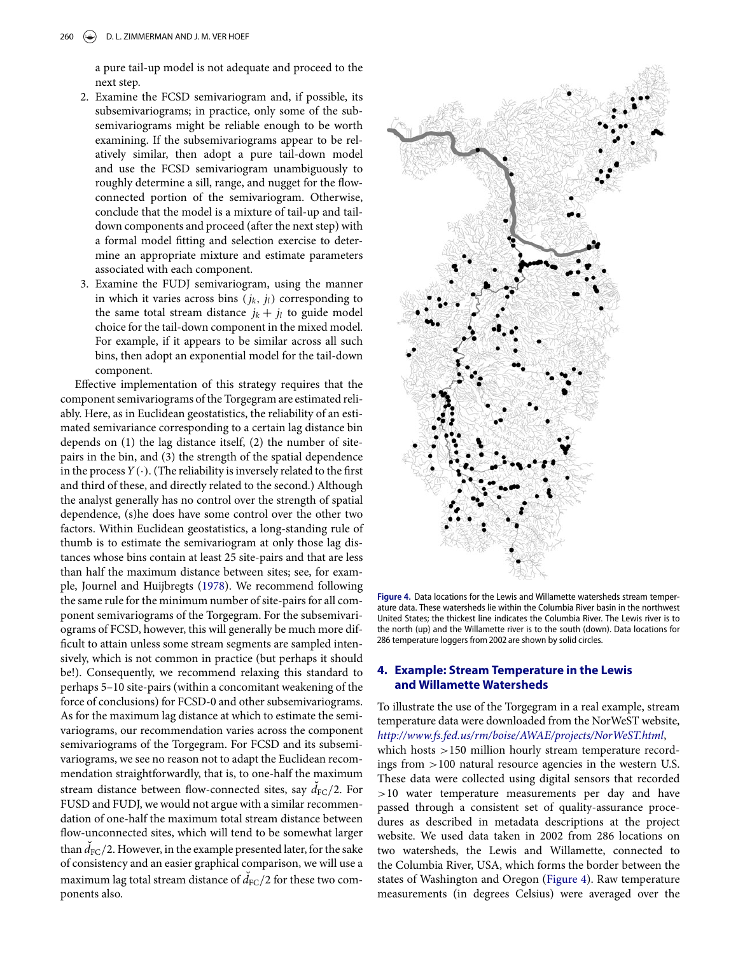a pure tail-up model is not adequate and proceed to the next step.

- 2. Examine the FCSD semivariogram and, if possible, its subsemivariograms; in practice, only some of the subsemivariograms might be reliable enough to be worth examining. If the subsemivariograms appear to be relatively similar, then adopt a pure tail-down model and use the FCSD semivariogram unambiguously to roughly determine a sill, range, and nugget for the flowconnected portion of the semivariogram. Otherwise, conclude that the model is a mixture of tail-up and taildown components and proceed (after the next step) with a formal model fitting and selection exercise to determine an appropriate mixture and estimate parameters associated with each component.
- 3. Examine the FUDJ semivariogram, using the manner in which it varies across bins  $(j_k, j_l)$  corresponding to the same total stream distance  $j_k + j_l$  to guide model choice for the tail-down component in the mixed model. For example, if it appears to be similar across all such bins, then adopt an exponential model for the tail-down component.

Effective implementation of this strategy requires that the component semivariograms of the Torgegram are estimated reliably. Here, as in Euclidean geostatistics, the reliability of an estimated semivariance corresponding to a certain lag distance bin depends on (1) the lag distance itself, (2) the number of sitepairs in the bin, and (3) the strength of the spatial dependence in the process  $Y(\cdot)$ . (The reliability is inversely related to the first and third of these, and directly related to the second.) Although the analyst generally has no control over the strength of spatial dependence, (s)he does have some control over the other two factors. Within Euclidean geostatistics, a long-standing rule of thumb is to estimate the semivariogram at only those lag distances whose bins contain at least 25 site-pairs and that are less than half the maximum distance between sites; see, for example, Journel and Huijbregts [\(1978\)](#page-11-17). We recommend following the same rule for the minimum number of site-pairs for all component semivariograms of the Torgegram. For the subsemivariograms of FCSD, however, this will generally be much more difficult to attain unless some stream segments are sampled intensively, which is not common in practice (but perhaps it should be!). Consequently, we recommend relaxing this standard to perhaps 5–10 site-pairs (within a concomitant weakening of the force of conclusions) for FCSD-0 and other subsemivariograms. As for the maximum lag distance at which to estimate the semivariograms, our recommendation varies across the component semivariograms of the Torgegram. For FCSD and its subsemivariograms, we see no reason not to adapt the Euclidean recommendation straightforwardly, that is, to one-half the maximum stream distance between flow-connected sites, say  $\dot{d}_{\text{FC}}/2$ . For FUSD and FUDJ, we would not argue with a similar recommendation of one-half the maximum total stream distance between flow-unconnected sites, which will tend to be somewhat larger than  $d_{\rm FC}/2$ . However, in the example presented later, for the sake of consistency and an easier graphical comparison, we will use a maximum lag total stream distance of  $d_{\rm FC}/2$  for these two components also.

<span id="page-7-1"></span>

<span id="page-7-2"></span>Figure 4. Data locations for the Lewis and Willamette watersheds stream temperature data. These watersheds lie within the Columbia River basin in the northwest United States; the thickest line indicates the Columbia River. The Lewis river is to the north (up) and the Willamette river is to the south (down). Data locations for 286 temperature loggers from 2002 are shown by solid circles.

# <span id="page-7-0"></span>**4. Example: Stream Temperature in the Lewis and Willamette Watersheds**

To illustrate the use of the Torgegram in a real example, stream temperature data were downloaded from the NorWeST website, *<http://www.fs.fed.us/rm/boise/AWAE/projects/NorWeST.html>*,

which hosts >150 million hourly stream temperature recordings from >100 natural resource agencies in the western U.S. These data were collected using digital sensors that recorded >10 water temperature measurements per day and have passed through a consistent set of quality-assurance procedures as described in metadata descriptions at the project website. We used data taken in 2002 from 286 locations on two watersheds, the Lewis and Willamette, connected to the Columbia River, USA, which forms the border between the states of Washington and Oregon [\(Figure 4\)](#page-7-1). Raw temperature measurements (in degrees Celsius) were averaged over the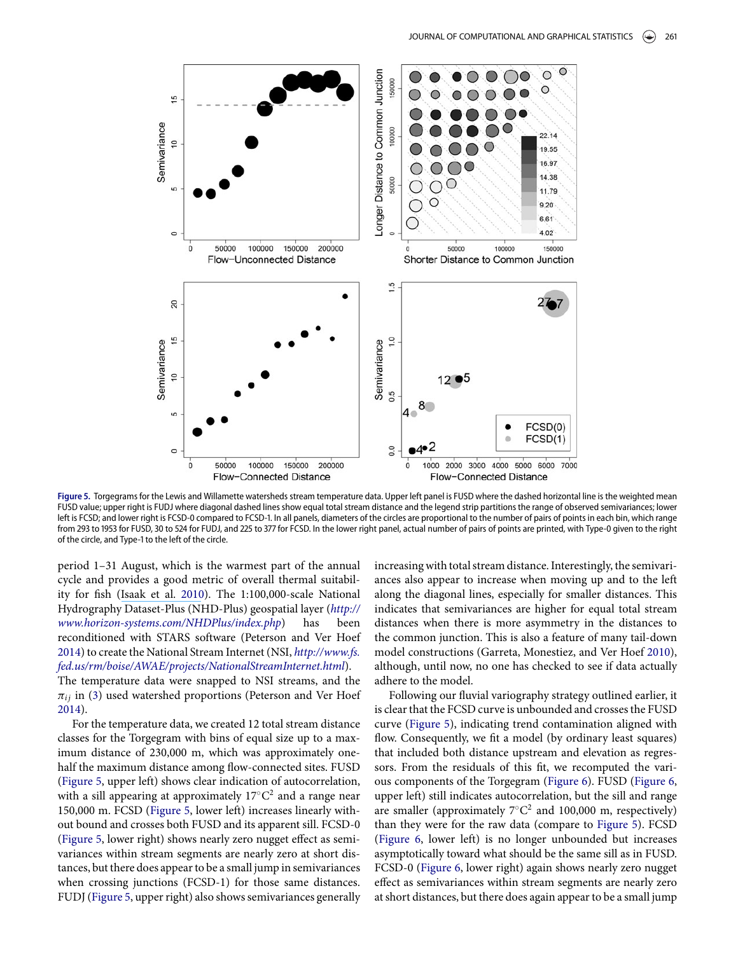<span id="page-8-0"></span>

Figure 5. Torgegrams for the Lewis and Willamette watersheds stream temperature data. Upper left panel is FUSD where the dashed horizontal line is the weighted mean FUSD value; upper right is FUDJ where diagonal dashed lines show equal total stream distance and the legend strip partitions the range of observed semivariances; lower left is FCSD; and lower right is FCSD-0 compared to FCSD-1. In all panels, diameters of the circles are proportional to the number of pairs of points in each bin, which range from 293 to 1953 for FUSD, 30 to 524 for FUDJ, and 225 to 377 for FCSD. In the lower right panel, actual number of pairs of points are printed, with Type-0 given to the right of the circle, and Type-1 to the left of the circle.

period 1–31 August, which is the warmest part of the annual cycle and provides a good metric of overall thermal suitability for fish ([Isaak et al.](https://www.researchgate.net/publication/45404640_Effects_of_Climate_Change_and_Wildfire_on_Stream_Temperatures_and_Salmonid_Thermal_Habitat_in_a_Mountain_River_Network?el=1_x_8&enrichId=rgreq-2e7ef4f1f3b58aa5d8369ed9f770e8fe-XXX&enrichSource=Y292ZXJQYWdlOzMwOTQ2NTc2MztBUzo0OTk0MTczMTI5MDcyNjRAMTQ5NjA4MTc3NDM4Mw==) [2010\)](#page-11-18). The 1:100,000-scale National [Hydrography Dataset-Plus \(NHD-Plus\) geospatial layer \(](http://www.horizon-systems.com/NHDPlus/index.php)*http:// www.horizon-systems.com/NHDPlus/index.php*) has been reconditioned with STARS software (Peterson and Ver Hoef [2014\)](#page-11-19) to create the National Stream Internet (NSI, *http://www.fs. [fed.us/rm/boise/AWAE/projects/NationalStreamInternet.html](http://www.fs.fed.us/rm/boise/AWAE/projects/NationalStreamInternet.html)*).

The temperature data were snapped to NSI streams, and the  $\pi_{ij}$  in [\(3\)](#page-2-1) used watershed proportions (Peterson and Ver Hoef [2014\)](#page-11-19).

For the temperature data, we created 12 total stream distance classes for the Torgegram with bins of equal size up to a maximum distance of 230,000 m, which was approximately onehalf the maximum distance among flow-connected sites. FUSD [\(Figure 5,](#page-8-0) upper left) shows clear indication of autocorrelation, with a sill appearing at approximately  $17^{\circ}C^2$  and a range near 150,000 m. FCSD [\(Figure 5,](#page-8-0) lower left) increases linearly without bound and crosses both FUSD and its apparent sill. FCSD-0 [\(Figure 5,](#page-8-0) lower right) shows nearly zero nugget effect as semivariances within stream segments are nearly zero at short distances, but there does appear to be a small jump in semivariances when crossing junctions (FCSD-1) for those same distances. FUDJ [\(Figure 5,](#page-8-0) upper right) also shows semivariances generally

increasing with total stream distance. Interestingly, the semivariances also appear to increase when moving up and to the left along the diagonal lines, especially for smaller distances. This indicates that semivariances are higher for equal total stream distances when there is more asymmetry in the distances to the common junction. This is also a feature of many tail-down model constructions (Garreta, Monestiez, and Ver Hoef [2010\)](#page-11-20), although, until now, no one has checked to see if data actually adhere to the model.

<span id="page-8-1"></span>Following our fluvial variography strategy outlined earlier, it is clear that the FCSD curve is unbounded and crosses the FUSD curve [\(Figure 5\)](#page-8-0), indicating trend contamination aligned with flow. Consequently, we fit a model (by ordinary least squares) that included both distance upstream and elevation as regressors. From the residuals of this fit, we recomputed the various components of the Torgegram [\(Figure 6\)](#page-9-1). FUSD [\(Figure 6,](#page-9-1) upper left) still indicates autocorrelation, but the sill and range are smaller (approximately  $7^{\circ}C^2$  and 100,000 m, respectively) than they were for the raw data (compare to [Figure 5\)](#page-8-0). FCSD [\(Figure 6,](#page-9-1) lower left) is no longer unbounded but increases asymptotically toward what should be the same sill as in FUSD. FCSD-0 [\(Figure 6,](#page-9-1) lower right) again shows nearly zero nugget effect as semivariances within stream segments are nearly zero at short distances, but there does again appear to be a small jump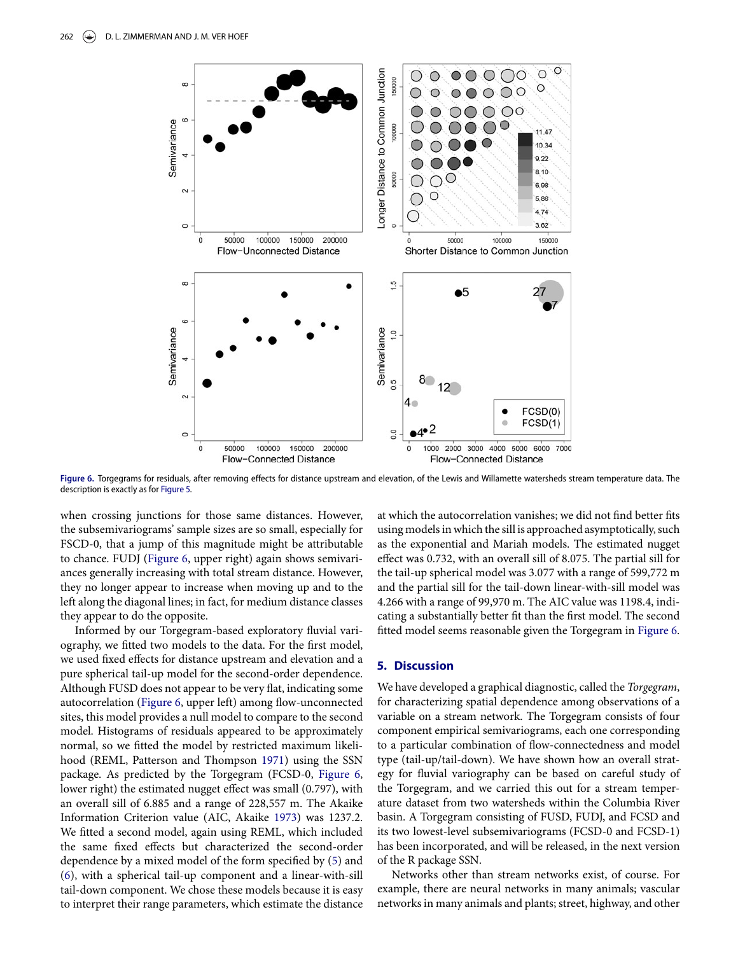<span id="page-9-1"></span>

Figure 6. Torgegrams for residuals, after removing effects for distance upstream and elevation, of the Lewis and Willamette watersheds stream temperature data. The description is exactly as for Figure 5.

when crossing junctions for those same distances. However, the subsemivariograms' sample sizes are so small, especially for FSCD-0, that a jump of this magnitude might be attributable to chance. FUDJ [\(Figure 6,](#page-9-1) upper right) again shows semivariances generally increasing with total stream distance. However, they no longer appear to increase when moving up and to the left along the diagonal lines; in fact, for medium distance classes they appear to do the opposite.

Informed by our Torgegram-based exploratory fluvial variography, we fitted two models to the data. For the first model, we used fixed effects for distance upstream and elevation and a pure spherical tail-up model for the second-order dependence. Although FUSD does not appear to be very flat, indicating some autocorrelation [\(Figure 6,](#page-9-1) upper left) among flow-unconnected sites, this model provides a null model to compare to the second model. Histograms of residuals appeared to be approximately normal, so we fitted the model by restricted maximum likelihood (REML, Patterson and Thompson [1971\)](#page-11-21) using the SSN package. As predicted by the Torgegram (FCSD-0, [Figure 6,](#page-9-1) lower right) the estimated nugget effect was small (0.797), with an overall sill of 6.885 and a range of 228,557 m. The Akaike Information Criterion value (AIC, Akaike [1973\)](#page-10-3) was 1237.2. We fitted a second model, again using REML, which included the same fixed effects but characterized the second-order dependence by a mixed model of the form specified by [\(5\)](#page-2-2) and [\(6\)](#page-2-3), with a spherical tail-up component and a linear-with-sill tail-down component. We chose these models because it is easy to interpret their range parameters, which estimate the distance at which the autocorrelation vanishes; we did not find better fits using models in which the sill is approached asymptotically, such as the exponential and Mariah models. The estimated nugget effect was 0.732, with an overall sill of 8.075. The partial sill for the tail-up spherical model was 3.077 with a range of 599,772 m and the partial sill for the tail-down linear-with-sill model was 4.266 with a range of 99,970 m. The AIC value was 1198.4, indicating a substantially better fit than the first model. The second fitted model seems reasonable given the Torgegram in [Figure 6.](#page-9-1)

#### **5. Discussion**

<span id="page-9-3"></span><span id="page-9-0"></span>We have developed a graphical diagnostic, called the *Torgegram*, for characterizing spatial dependence among observations of a variable on a stream network. The Torgegram consists of four component empirical semivariograms, each one corresponding to a particular combination of flow-connectedness and model type (tail-up/tail-down). We have shown how an overall strategy for fluvial variography can be based on careful study of the Torgegram, and we carried this out for a stream temperature dataset from two watersheds within the Columbia River basin. A Torgegram consisting of FUSD, FUDJ, and FCSD and its two lowest-level subsemivariograms (FCSD-0 and FCSD-1) has been incorporated, and will be released, in the next version of the R package SSN.

<span id="page-9-2"></span>Networks other than stream networks exist, of course. For example, there are neural networks in many animals; vascular networks in many animals and plants; street, highway, and other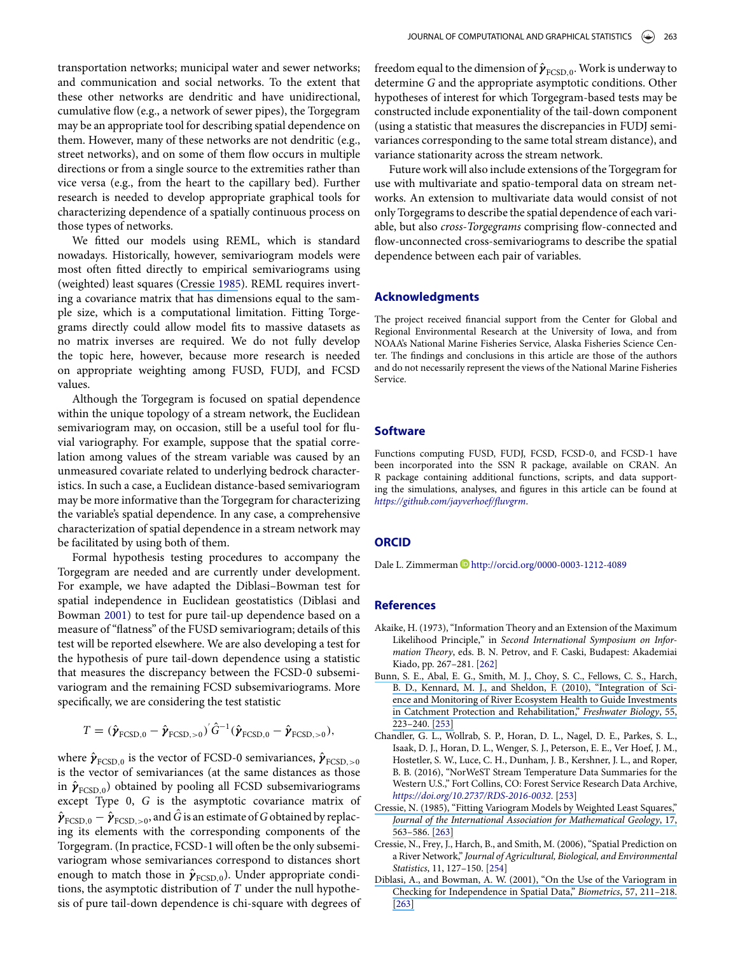transportation networks; municipal water and sewer networks; and communication and social networks. To the extent that these other networks are dendritic and have unidirectional, cumulative flow (e.g., a network of sewer pipes), the Torgegram may be an appropriate tool for describing spatial dependence on them. However, many of these networks are not dendritic (e.g., street networks), and on some of them flow occurs in multiple directions or from a single source to the extremities rather than vice versa (e.g., from the heart to the capillary bed). Further research is needed to develop appropriate graphical tools for characterizing dependence of a spatially continuous process on those types of networks.

We fitted our models using REML, which is standard nowadays. Historically, however, semivariogram models were most often fitted directly to empirical semivariograms using (weighted) least squares ([Cressie](https://www.researchgate.net/publication/225875286_Fitting_Variogram_Models_by_Weighted_Least_Squares?el=1_x_8&enrichId=rgreq-2e7ef4f1f3b58aa5d8369ed9f770e8fe-XXX&enrichSource=Y292ZXJQYWdlOzMwOTQ2NTc2MztBUzo0OTk0MTczMTI5MDcyNjRAMTQ5NjA4MTc3NDM4Mw==) [1985\)](#page-10-4). REML requires inverting a covariance matrix that has dimensions equal to the sample size, which is a computational limitation. Fitting Torgegrams directly could allow model fits to massive datasets as no matrix inverses are required. We do not fully develop the topic here, however, because more research is needed on appropriate weighting among FUSD, FUDJ, and FCSD values.

Although the Torgegram is focused on spatial dependence within the unique topology of a stream network, the Euclidean semivariogram may, on occasion, still be a useful tool for fluvial variography. For example, suppose that the spatial correlation among values of the stream variable was caused by an unmeasured covariate related to underlying bedrock characteristics. In such a case, a Euclidean distance-based semivariogram may be more informative than the Torgegram for characterizing the variable's spatial dependence. In any case, a comprehensive characterization of spatial dependence in a stream network may be facilitated by using both of them.

<span id="page-10-7"></span>Formal hypothesis testing procedures to accompany the Torgegram are needed and are currently under development. For example, we have adapted the Diblasi–Bowman test for spatial independence in Euclidean geostatistics (Diblasi and Bowman [2001\)](#page-10-5) to test for pure tail-up dependence based on a measure of "flatness" of the FUSD semivariogram; details of this test will be reported elsewhere. We are also developing a test for the hypothesis of pure tail-down dependence using a statistic that measures the discrepancy between the FCSD-0 subsemivariogram and the remaining FCSD subsemivariograms. More specifically, we are considering the test statistic

$$
T = (\hat{\boldsymbol{\gamma}}_{\text{FCSD},0} - \hat{\boldsymbol{\gamma}}_{\text{FCSD},>0})^{\dot{}} \hat{G}^{-1} (\hat{\boldsymbol{\gamma}}_{\text{FCSD},0} - \hat{\boldsymbol{\gamma}}_{\text{FCSD},>0}),
$$

where  $\hat{\gamma}_{\text{FCSD},0}$  is the vector of FCSD-0 semivariances,  $\hat{\gamma}_{\text{FCSD},0}$ is the vector of semivariances (at the same distances as those in  $\hat{\gamma}_{FCSD,0}$ ) obtained by pooling all FCSD subsemivariograms except Type 0, *G* is the asymptotic covariance matrix of  $\hat{\mathbf{\gamma}}_{\text{FCSD},0} - \hat{\mathbf{\gamma}}_{\text{FCSD},>0}$ , and *G* is an estimate of *G* obtained by replacing its elements with the corresponding components of the Torgegram. (In practice, FCSD-1 will often be the only subsemivariogram whose semivariances correspond to distances short enough to match those in  $\hat{\gamma}_{\text{FCSD},0}$ ). Under appropriate conditions, the asymptotic distribution of *T* under the null hypothesis of pure tail-down dependence is chi-square with degrees of freedom equal to the dimension of  $\hat{\gamma}_{\text{FCSD.0}}$ . Work is underway to determine *G* and the appropriate asymptotic conditions. Other hypotheses of interest for which Torgegram-based tests may be constructed include exponentiality of the tail-down component (using a statistic that measures the discrepancies in FUDJ semivariances corresponding to the same total stream distance), and variance stationarity across the stream network.

Future work will also include extensions of the Torgegram for use with multivariate and spatio-temporal data on stream networks. An extension to multivariate data would consist of not only Torgegrams to describe the spatial dependence of each variable, but also *cross-Torgegrams* comprising flow-connected and flow-unconnected cross-semivariograms to describe the spatial dependence between each pair of variables.

### <span id="page-10-6"></span>**Acknowledgments**

The project received financial support from the Center for Global and Regional Environmental Research at the University of Iowa, and from NOAA's National Marine Fisheries Service, Alaska Fisheries Science Center. The findings and conclusions in this article are those of the authors and do not necessarily represent the views of the National Marine Fisheries Service.

### **Software**

Functions computing FUSD, FUDJ, FCSD, FCSD-0, and FCSD-1 have been incorporated into the SSN R package, available on CRAN. An R package containing additional functions, scripts, and data supporting the simulations, analyses, and figures in this article can be found at *<https://github.com/jayverhoef/fluvgrm>*.

# **ORCID**

Dale L. Zimmerman D<http://orcid.org/0000-0003-1212-4089>

# **References**

- <span id="page-10-3"></span>Akaike, H. (1973), "Information Theory and an Extension of the Maximum Likelihood Principle," in *Second International Symposium on Information Theory*, eds. B. N. Petrov, and F. Caski, Budapest: Akademiai Kiado, pp. 267–281. [\[262\]](#page-9-2)
- <span id="page-10-0"></span>[Bunn, S. E., Abal, E. G., Smith, M. J., Choy, S. C., Fellows, C. S., Harch,](https://www.researchgate.net/publication/45488343_Integration_of_science_and_monitoring_of_river_ecosystem_health_to_guide_investments_in_catchment_protection_and_rehabilitation?el=1_x_8&enrichId=rgreq-2e7ef4f1f3b58aa5d8369ed9f770e8fe-XXX&enrichSource=Y292ZXJQYWdlOzMwOTQ2NTc2MztBUzo0OTk0MTczMTI5MDcyNjRAMTQ5NjA4MTc3NDM4Mw==) [B. D., Kennard, M. J., and Sheldon, F. \(2010\), "Integration of Sci](https://www.researchgate.net/publication/45488343_Integration_of_science_and_monitoring_of_river_ecosystem_health_to_guide_investments_in_catchment_protection_and_rehabilitation?el=1_x_8&enrichId=rgreq-2e7ef4f1f3b58aa5d8369ed9f770e8fe-XXX&enrichSource=Y292ZXJQYWdlOzMwOTQ2NTc2MztBUzo0OTk0MTczMTI5MDcyNjRAMTQ5NjA4MTc3NDM4Mw==)[ence and Monitoring of River Ecosystem Health to Guide Investments](https://www.researchgate.net/publication/45488343_Integration_of_science_and_monitoring_of_river_ecosystem_health_to_guide_investments_in_catchment_protection_and_rehabilitation?el=1_x_8&enrichId=rgreq-2e7ef4f1f3b58aa5d8369ed9f770e8fe-XXX&enrichSource=Y292ZXJQYWdlOzMwOTQ2NTc2MztBUzo0OTk0MTczMTI5MDcyNjRAMTQ5NjA4MTc3NDM4Mw==) [in Catchment Protection and Rehabilitation,"](https://www.researchgate.net/publication/45488343_Integration_of_science_and_monitoring_of_river_ecosystem_health_to_guide_investments_in_catchment_protection_and_rehabilitation?el=1_x_8&enrichId=rgreq-2e7ef4f1f3b58aa5d8369ed9f770e8fe-XXX&enrichSource=Y292ZXJQYWdlOzMwOTQ2NTc2MztBUzo0OTk0MTczMTI5MDcyNjRAMTQ5NjA4MTc3NDM4Mw==) *Freshwater Biology*, 55, [223–240. \[](https://www.researchgate.net/publication/45488343_Integration_of_science_and_monitoring_of_river_ecosystem_health_to_guide_investments_in_catchment_protection_and_rehabilitation?el=1_x_8&enrichId=rgreq-2e7ef4f1f3b58aa5d8369ed9f770e8fe-XXX&enrichSource=Y292ZXJQYWdlOzMwOTQ2NTc2MztBUzo0OTk0MTczMTI5MDcyNjRAMTQ5NjA4MTc3NDM4Mw==)[253](#page-0-2)[\]](https://www.researchgate.net/publication/45488343_Integration_of_science_and_monitoring_of_river_ecosystem_health_to_guide_investments_in_catchment_protection_and_rehabilitation?el=1_x_8&enrichId=rgreq-2e7ef4f1f3b58aa5d8369ed9f770e8fe-XXX&enrichSource=Y292ZXJQYWdlOzMwOTQ2NTc2MztBUzo0OTk0MTczMTI5MDcyNjRAMTQ5NjA4MTc3NDM4Mw==)
- <span id="page-10-1"></span>Chandler, G. L., Wollrab, S. P., Horan, D. L., Nagel, D. E., Parkes, S. L., Isaak, D. J., Horan, D. L., Wenger, S. J., Peterson, E. E., Ver Hoef, J. M., Hostetler, S. W., Luce, C. H., Dunham, J. B., Kershner, J. L., and Roper, B. B. (2016), "NorWeST Stream Temperature Data Summaries for the Western U.S.," Fort Collins, CO: Forest Service Research Data Archive, *<https://doi.org/10.2737/RDS-2016-0032>*. [\[253\]](#page-0-3)
- <span id="page-10-4"></span>[Cressie, N. \(1985\), "Fitting Variogram Models by Weighted Least Squares,"](https://www.researchgate.net/publication/225875286_Fitting_Variogram_Models_by_Weighted_Least_Squares?el=1_x_8&enrichId=rgreq-2e7ef4f1f3b58aa5d8369ed9f770e8fe-XXX&enrichSource=Y292ZXJQYWdlOzMwOTQ2NTc2MztBUzo0OTk0MTczMTI5MDcyNjRAMTQ5NjA4MTc3NDM4Mw==) *[Journal of the International Association for Mathematical Geology](https://www.researchgate.net/publication/225875286_Fitting_Variogram_Models_by_Weighted_Least_Squares?el=1_x_8&enrichId=rgreq-2e7ef4f1f3b58aa5d8369ed9f770e8fe-XXX&enrichSource=Y292ZXJQYWdlOzMwOTQ2NTc2MztBUzo0OTk0MTczMTI5MDcyNjRAMTQ5NjA4MTc3NDM4Mw==)*, 17, [563–586. \[](https://www.researchgate.net/publication/225875286_Fitting_Variogram_Models_by_Weighted_Least_Squares?el=1_x_8&enrichId=rgreq-2e7ef4f1f3b58aa5d8369ed9f770e8fe-XXX&enrichSource=Y292ZXJQYWdlOzMwOTQ2NTc2MztBUzo0OTk0MTczMTI5MDcyNjRAMTQ5NjA4MTc3NDM4Mw==)[263](#page-10-6)[\]](https://www.researchgate.net/publication/225875286_Fitting_Variogram_Models_by_Weighted_Least_Squares?el=1_x_8&enrichId=rgreq-2e7ef4f1f3b58aa5d8369ed9f770e8fe-XXX&enrichSource=Y292ZXJQYWdlOzMwOTQ2NTc2MztBUzo0OTk0MTczMTI5MDcyNjRAMTQ5NjA4MTc3NDM4Mw==)
- <span id="page-10-2"></span>Cressie, N., Frey, J., Harch, B., and Smith, M. (2006), "Spatial Prediction on a River Network," *Journal of Agricultural, Biological, and Environmental Statistics*, 11, 127–150. [\[254\]](#page-1-3)
- <span id="page-10-5"></span>[Diblasi, A., and Bowman, A. W. \(2001\), "On the Use of the Variogram in](https://www.researchgate.net/publication/12079129_On_the_Use_of_the_Variogram_in_Checking_for_Independence_in_Spatial_Data?el=1_x_8&enrichId=rgreq-2e7ef4f1f3b58aa5d8369ed9f770e8fe-XXX&enrichSource=Y292ZXJQYWdlOzMwOTQ2NTc2MztBUzo0OTk0MTczMTI5MDcyNjRAMTQ5NjA4MTc3NDM4Mw==) [Checking for Independence in Spatial Data,"](https://www.researchgate.net/publication/12079129_On_the_Use_of_the_Variogram_in_Checking_for_Independence_in_Spatial_Data?el=1_x_8&enrichId=rgreq-2e7ef4f1f3b58aa5d8369ed9f770e8fe-XXX&enrichSource=Y292ZXJQYWdlOzMwOTQ2NTc2MztBUzo0OTk0MTczMTI5MDcyNjRAMTQ5NjA4MTc3NDM4Mw==) *Biometrics*, 57, 211–218. [\[](https://www.researchgate.net/publication/12079129_On_the_Use_of_the_Variogram_in_Checking_for_Independence_in_Spatial_Data?el=1_x_8&enrichId=rgreq-2e7ef4f1f3b58aa5d8369ed9f770e8fe-XXX&enrichSource=Y292ZXJQYWdlOzMwOTQ2NTc2MztBUzo0OTk0MTczMTI5MDcyNjRAMTQ5NjA4MTc3NDM4Mw==)[263](#page-10-7)[\]](https://www.researchgate.net/publication/12079129_On_the_Use_of_the_Variogram_in_Checking_for_Independence_in_Spatial_Data?el=1_x_8&enrichId=rgreq-2e7ef4f1f3b58aa5d8369ed9f770e8fe-XXX&enrichSource=Y292ZXJQYWdlOzMwOTQ2NTc2MztBUzo0OTk0MTczMTI5MDcyNjRAMTQ5NjA4MTc3NDM4Mw==)